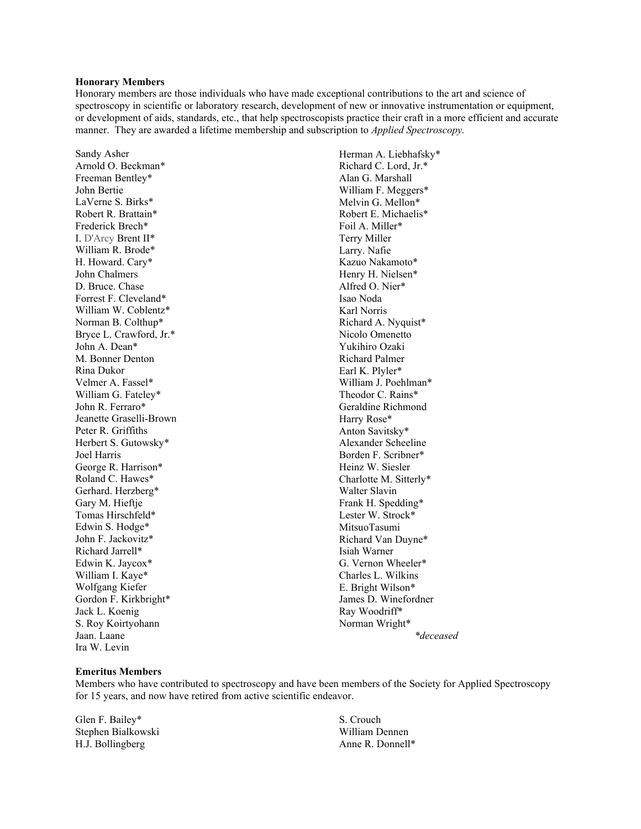### **Honorary Members**

Honorary members are those individuals who have made exceptional contributions to the art and science of spectroscopy in scientific or laboratory research, development of new or innovative instrumentation or equipment, or development of aids, standards, etc., that help spectroscopists practice their craft in a more efficient and accurate manner. They are awarded a lifetime membership and subscription to *Applied Spectroscopy.*

Sandy Asher Arnold O. Beckman\* Freeman Bentley\* John Bertie LaVerne S. Birks\* Robert R. Brattain\* Frederick Brech\* I. D'Arcy Brent II\* William R. Brode\* H. Howard. Cary\* John Chalmers D. Bruce. Chase Forrest F. Cleveland\* William W. Coblentz\* Norman B. Colthup\* Bryce L. Crawford, Jr.\* John A. Dean\* M. Bonner Denton Rina Dukor Velmer A. Fassel\* William G. Fateley\* John R. Ferraro\* Jeanette Graselli-Brown Peter R. Griffiths Herbert S. Gutowsky\* Joel Harris George R. Harrison\* Roland C. Hawes\* Gerhard. Herzberg\* Gary M. Hieftje Tomas Hirschfeld\* Edwin S. Hodge\* John F. Jackovitz\* Richard Jarrell\* Edwin K. Jaycox\* William I. Kaye\* Wolfgang Kiefer Gordon F. Kirkbright\* Jack L. Koenig S. Roy Koirtyohann Jaan. Laane Ira W. Levin

Herman A. Liebhafsky\* Richard C. Lord, Jr.\* Alan G. Marshall William F. Meggers\* Melvin G. Mellon\* Robert E. Michaelis\* Foil A. Miller\* Terry Miller Larry. Nafie Kazuo Nakamoto\* Henry H. Nielsen\* Alfred O. Nier\* Isao Noda Karl Norris Richard A. Nyquist\* Nicolo Omenetto Yukihiro Ozaki Richard Palmer Earl K. Plyler\* William J. Poehlman\* Theodor C. Rains\* Geraldine Richmond Harry Rose\* Anton Savitsky\* Alexander Scheeline Borden F. Scribner\* Heinz W. Siesler Charlotte M. Sitterly\* Walter Slavin Frank H. Spedding\* Lester W. Strock\* MitsuoTasumi Richard Van Duyne\* Isiah Warner G. Vernon Wheeler\* Charles L. Wilkins E. Bright Wilson\* James D. Winefordner Ray Woodriff\* Norman Wright\* *\*deceased*

# **Emeritus Members**

Members who have contributed to spectroscopy and have been members of the Society for Applied Spectroscopy for 15 years, and now have retired from active scientific endeavor.

Glen F. Bailey\* Stephen Bialkowski H.J. Bollingberg

S. Crouch William Dennen Anne R. Donnell\*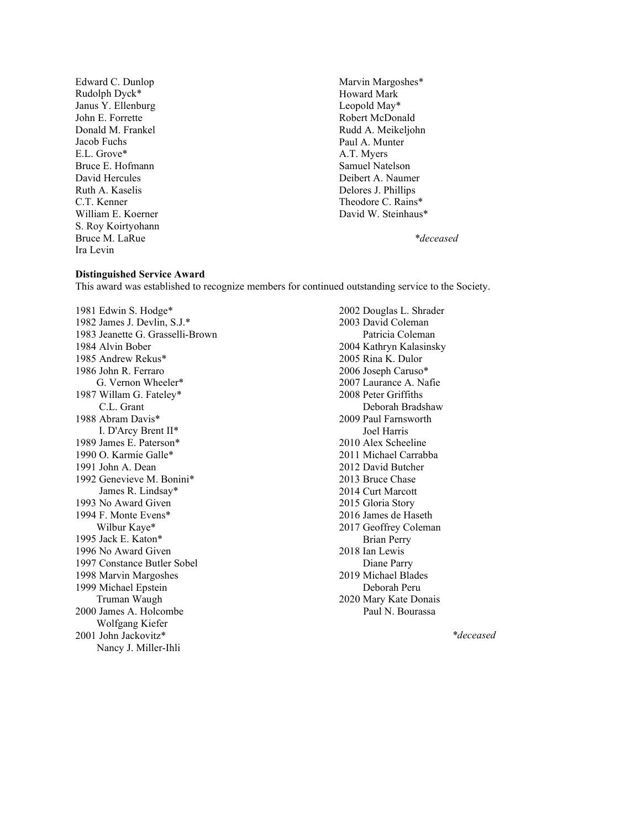Edward C. Dunlop Rudolph Dyck\* Janus Y. Ellenburg John E. Forrette Donald M. Frankel Jacob Fuchs E.L. Grove\* Bruce E. Hofmann David Hercules Ruth A. Kaselis C.T. Kenner William E. Koerner S. Roy Koirtyohann Bruce M. LaRue Ira Levin

Marvin Margoshes\* Howard Mark Leopold May\* Robert McDonald Rudd A. Meikeljohn Paul A. Munter A.T. Myers Samuel Natelson Deibert A. Naumer Delores J. Phillips Theodore C. Rains\* David W. Steinhaus\*

## *\*deceased*

#### **Distinguished Service Award**

This award was established to recognize members for continued outstanding service to the Society.

1981 Edwin S. Hodge\* 1982 James J. Devlin, S.J.\* 1983 Jeanette G. Grasselli-Brown 1984 Alvin Bober 1985 Andrew Rekus\* 1986 John R. Ferraro G. Vernon Wheeler\* 1987 Willam G. Fateley\* C.L. Grant 1988 Abram Davis\* I. D'Arcy Brent II\* 1989 James E. Paterson\* 1990 O. Karmie Galle\* 1991 John A. Dean 1992 Genevieve M. Bonini\* James R. Lindsay\* 1993 No Award Given 1994 F. Monte Evens\* Wilbur Kaye\* 1995 Jack E. Katon\* 1996 No Award Given 1997 Constance Butler Sobel 1998 Marvin Margoshes 1999 Michael Epstein Truman Waugh 2000 James A. Holcombe Wolfgang Kiefer 2001 John Jackovitz\* Nancy J. Miller-Ihli

2002 Douglas L. Shrader 2003 David Coleman Patricia Coleman 2004 Kathryn Kalasinsky 2005 Rina K. Dulor 2006 Joseph Caruso\* 2007 Laurance A. Nafie 2008 Peter Griffiths Deborah Bradshaw 2009 Paul Farnsworth Joel Harris 2010 Alex Scheeline 2011 Michael Carrabba 2012 David Butcher 2013 Bruce Chase 2014 Curt Marcott 2015 Gloria Story 2016 James de Haseth 2017 Geoffrey Coleman Brian Perry 2018 Ian Lewis Diane Parry 2019 Michael Blades Deborah Peru 2020 Mary Kate Donais Paul N. Bourassa

*\*deceased*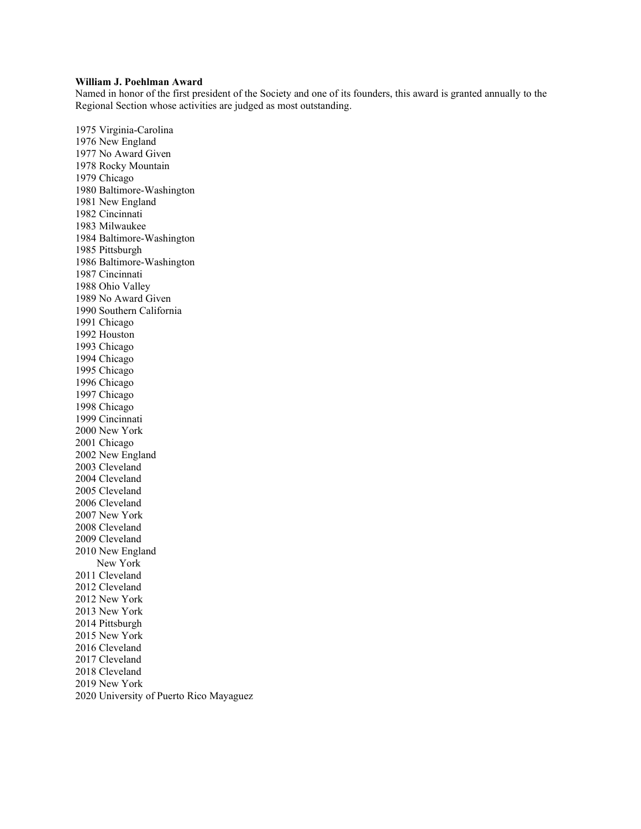## **William J. Poehlman Award**

Named in honor of the first president of the Society and one of its founders, this award is granted annually to the Regional Section whose activities are judged as most outstanding.

1975 Virginia-Carolina 1976 New England 1977 No Award Given 1978 Rocky Mountain 1979 Chicago 1980 Baltimore-Washington 1981 New England 1982 Cincinnati 1983 Milwaukee 1984 Baltimore-Washington 1985 Pittsburgh 1986 Baltimore-Washington 1987 Cincinnati 1988 Ohio Valley 1989 No Award Given 1990 Southern California 1991 Chicago 1992 Houston 1993 Chicago 1994 Chicago 1995 Chicago 1996 Chicago 1997 Chicago 1998 Chicago 1999 Cincinnati 2000 New York 2001 Chicago 2002 New England 2003 Cleveland 2004 Cleveland 2005 Cleveland 2006 Cleveland 2007 New York 2008 Cleveland 2009 Cleveland 2010 New England New York 2011 Cleveland 2012 Cleveland 2012 New York 2013 New York 2014 Pittsburgh 2015 New York 2016 Cleveland 2017 Cleveland 2018 Cleveland 2019 New York 2020 University of Puerto Rico Mayaguez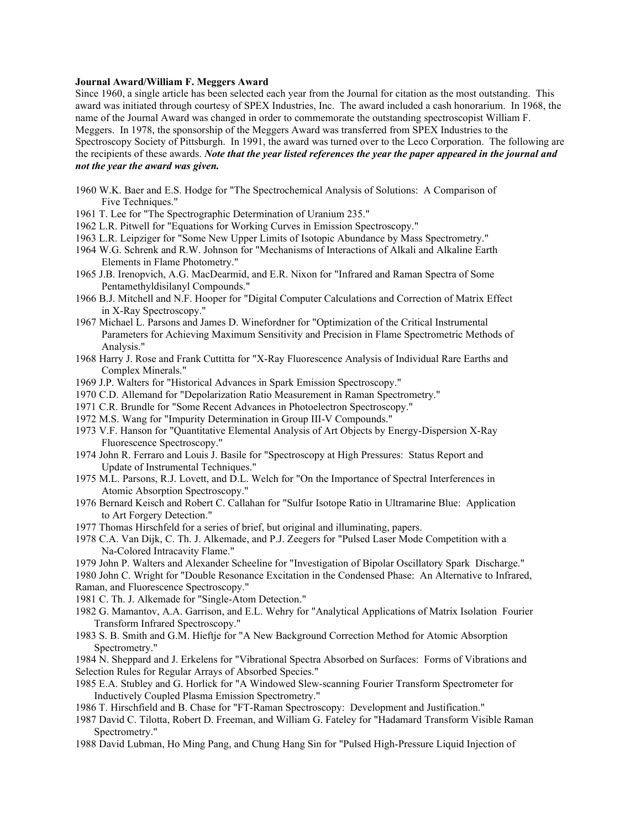### **Journal Award/William F. Meggers Award**

Since 1960, a single article has been selected each year from the Journal for citation as the most outstanding. This award was initiated through courtesy of SPEX Industries, Inc. The award included a cash honorarium. In 1968, the name of the Journal Award was changed in order to commemorate the outstanding spectroscopist William F. Meggers. In 1978, the sponsorship of the Meggers Award was transferred from SPEX Industries to the Spectroscopy Society of Pittsburgh. In 1991, the award was turned over to the Leco Corporation. The following are the recipients of these awards. *Note that the year listed references the year the paper appeared in the journal and not the year the award was given.*

- 1960 W.K. Baer and E.S. Hodge for "The Spectrochemical Analysis of Solutions: A Comparison of Five Techniques."
- 1961 T. Lee for "The Spectrographic Determination of Uranium 235."
- 1962 L.R. Pitwell for "Equations for Working Curves in Emission Spectroscopy."
- 1963 L.R. Leipziger for "Some New Upper Limits of Isotopic Abundance by Mass Spectrometry."
- 1964 W.G. Schrenk and R.W. Johnson for "Mechanisms of Interactions of Alkali and Alkaline Earth Elements in Flame Photometry."
- 1965 J.B. Irenopvich, A.G. MacDearmid, and E.R. Nixon for "Infrared and Raman Spectra of Some Pentamethyldisilanyl Compounds."
- 1966 B.J. Mitchell and N.F. Hooper for "Digital Computer Calculations and Correction of Matrix Effect in X-Ray Spectroscopy."
- 1967 Michael L. Parsons and James D. Winefordner for "Optimization of the Critical Instrumental Parameters for Achieving Maximum Sensitivity and Precision in Flame Spectrometric Methods of Analysis."
- 1968 Harry J. Rose and Frank Cuttitta for "X-Ray Fluorescence Analysis of Individual Rare Earths and Complex Minerals."
- 1969 J.P. Walters for "Historical Advances in Spark Emission Spectroscopy."
- 1970 C.D. Allemand for "Depolarization Ratio Measurement in Raman Spectrometry."
- 1971 C.R. Brundle for "Some Recent Advances in Photoelectron Spectroscopy."
- 1972 M.S. Wang for "Impurity Determination in Group III-V Compounds."
- 1973 V.F. Hanson for "Quantitative Elemental Analysis of Art Objects by Energy-Dispersion X-Ray Fluorescence Spectroscopy."
- 1974 John R. Ferraro and Louis J. Basile for "Spectroscopy at High Pressures: Status Report and Update of Instrumental Techniques."
- 1975 M.L. Parsons, R.J. Lovett, and D.L. Welch for "On the Importance of Spectral Interferences in Atomic Absorption Spectroscopy."
- 1976 Bernard Keisch and Robert C. Callahan for "Sulfur Isotope Ratio in Ultramarine Blue: Application to Art Forgery Detection."
- 1977 Thomas Hirschfeld for a series of brief, but original and illuminating, papers.
- 1978 C.A. Van Dijk, C. Th. J. Alkemade, and P.J. Zeegers for "Pulsed Laser Mode Competition with a Na-Colored Intracavity Flame."
- 1979 John P. Walters and Alexander Scheeline for "Investigation of Bipolar Oscillatory Spark Discharge."
- 1980 John C. Wright for "Double Resonance Excitation in the Condensed Phase: An Alternative to Infrared, Raman, and Fluorescence Spectroscopy."
- 1981 C. Th. J. Alkemade for "Single-Atom Detection."
- 1982 G. Mamantov, A.A. Garrison, and E.L. Wehry for "Analytical Applications of Matrix Isolation Fourier Transform Infrared Spectroscopy."
- 1983 S. B. Smith and G.M. Hieftje for "A New Background Correction Method for Atomic Absorption Spectrometry."

1984 N. Sheppard and J. Erkelens for "Vibrational Spectra Absorbed on Surfaces: Forms of Vibrations and Selection Rules for Regular Arrays of Absorbed Species."

- 1985 E.A. Stubley and G. Horlick for "A Windowed Slew-scanning Fourier Transform Spectrometer for Inductively Coupled Plasma Emission Spectrometry."
- 1986 T. Hirschfield and B. Chase for "FT-Raman Spectroscopy: Development and Justification."
- 1987 David C. Tilotta, Robert D. Freeman, and William G. Fateley for "Hadamard Transform Visible Raman Spectrometry."
- 1988 David Lubman, Ho Ming Pang, and Chung Hang Sin for "Pulsed High-Pressure Liquid Injection of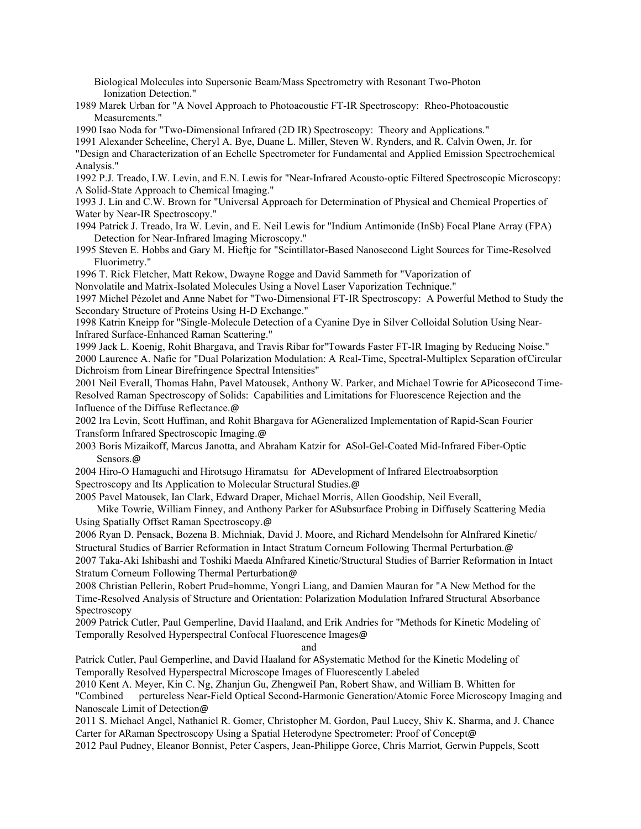Biological Molecules into Supersonic Beam/Mass Spectrometry with Resonant Two-Photon Ionization Detection."

1989 Marek Urban for "A Novel Approach to Photoacoustic FT-IR Spectroscopy: Rheo-Photoacoustic Measurements."

1990 Isao Noda for "Two-Dimensional Infrared (2D IR) Spectroscopy: Theory and Applications."

1991 Alexander Scheeline, Cheryl A. Bye, Duane L. Miller, Steven W. Rynders, and R. Calvin Owen, Jr. for

"Design and Characterization of an Echelle Spectrometer for Fundamental and Applied Emission Spectrochemical Analysis."

1992 P.J. Treado, I.W. Levin, and E.N. Lewis for "Near-Infrared Acousto-optic Filtered Spectroscopic Microscopy: A Solid-State Approach to Chemical Imaging."

1993 J. Lin and C.W. Brown for "Universal Approach for Determination of Physical and Chemical Properties of Water by Near-IR Spectroscopy."

1994 Patrick J. Treado, Ira W. Levin, and E. Neil Lewis for "Indium Antimonide (InSb) Focal Plane Array (FPA) Detection for Near-Infrared Imaging Microscopy."

1995 Steven E. Hobbs and Gary M. Hieftje for "Scintillator-Based Nanosecond Light Sources for Time-Resolved Fluorimetry."

1996 T. Rick Fletcher, Matt Rekow, Dwayne Rogge and David Sammeth for "Vaporization of

Nonvolatile and Matrix-Isolated Molecules Using a Novel Laser Vaporization Technique."

1997 Michel Pézolet and Anne Nabet for "Two-Dimensional FT-IR Spectroscopy: A Powerful Method to Study the Secondary Structure of Proteins Using H-D Exchange."

1998 Katrin Kneipp for "Single-Molecule Detection of a Cyanine Dye in Silver Colloidal Solution Using Near-Infrared Surface-Enhanced Raman Scattering."

1999 Jack L. Koenig, Rohit Bhargava, and Travis Ribar for"Towards Faster FT-IR Imaging by Reducing Noise." 2000 Laurence A. Nafie for "Dual Polarization Modulation: A Real-Time, Spectral-Multiplex Separation ofCircular Dichroism from Linear Birefringence Spectral Intensities"

2001 Neil Everall, Thomas Hahn, Pavel Matousek, Anthony W. Parker, and Michael Towrie for APicosecond Time-Resolved Raman Spectroscopy of Solids: Capabilities and Limitations for Fluorescence Rejection and the Influence of the Diffuse Reflectance.@

2002 Ira Levin, Scott Huffman, and Rohit Bhargava for AGeneralized Implementation of Rapid-Scan Fourier Transform Infrared Spectroscopic Imaging.@

2003 Boris Mizaikoff, Marcus Janotta, and Abraham Katzir for ASol-Gel-Coated Mid-Infrared Fiber-Optic Sensors.@

2004 Hiro-O Hamaguchi and Hirotsugo Hiramatsu for ADevelopment of Infrared Electroabsorption Spectroscopy and Its Application to Molecular Structural Studies.@

2005 Pavel Matousek, Ian Clark, Edward Draper, Michael Morris, Allen Goodship, Neil Everall,

Mike Towrie, William Finney, and Anthony Parker for ASubsurface Probing in Diffusely Scattering Media Using Spatially Offset Raman Spectroscopy.@

2006 Ryan D. Pensack, Bozena B. Michniak, David J. Moore, and Richard Mendelsohn for AInfrared Kinetic/ Structural Studies of Barrier Reformation in Intact Stratum Corneum Following Thermal Perturbation.@

2007 Taka-Aki Ishibashi and Toshiki Maeda AInfrared Kinetic/Structural Studies of Barrier Reformation in Intact Stratum Corneum Following Thermal Perturbation@

2008 Christian Pellerin, Robert Prud=homme, Yongri Liang, and Damien Mauran for "A New Method for the Time-Resolved Analysis of Structure and Orientation: Polarization Modulation Infrared Structural Absorbance Spectroscopy

2009 Patrick Cutler, Paul Gemperline, David Haaland, and Erik Andries for "Methods for Kinetic Modeling of Temporally Resolved Hyperspectral Confocal Fluorescence Images@

and

Patrick Cutler, Paul Gemperline, and David Haaland for ASystematic Method for the Kinetic Modeling of Temporally Resolved Hyperspectral Microscope Images of Fluorescently Labeled

2010 Kent A. Meyer, Kin C. Ng, Zhanjun Gu, ZhengweiI Pan, Robert Shaw, and William B. Whitten for "Combined pertureless Near-Field Optical Second-Harmonic Generation/Atomic Force Microscopy Imaging and Nanoscale Limit of Detection@

2011 S. Michael Angel, Nathaniel R. Gomer, Christopher M. Gordon, Paul Lucey, Shiv K. Sharma, and J. Chance Carter for ARaman Spectroscopy Using a Spatial Heterodyne Spectrometer: Proof of Concept@

2012 Paul Pudney, Eleanor Bonnist, Peter Caspers, Jean-Philippe Gorce, Chris Marriot, Gerwin Puppels, Scott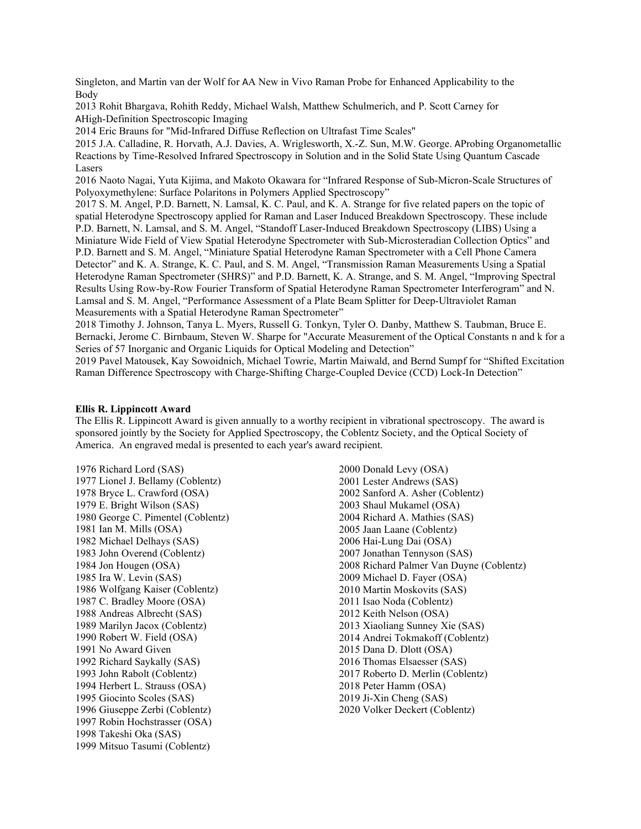Singleton, and Martin van der Wolf for AA New in Vivo Raman Probe for Enhanced Applicability to the Body

2013 Rohit Bhargava, Rohith Reddy, Michael Walsh, Matthew Schulmerich, and P. Scott Carney for AHigh-Definition Spectroscopic Imaging

2014 Eric Brauns for "Mid-Infrared Diffuse Reflection on Ultrafast Time Scales"

2015 J.A. Calladine, R. Horvath, A.J. Davies, A. Wriglesworth, X.-Z. Sun, M.W. George. AProbing Organometallic Reactions by Time-Resolved Infrared Spectroscopy in Solution and in the Solid State Using Quantum Cascade Lasers

2016 Naoto Nagai, Yuta Kijima, and Makoto Okawara for "Infrared Response of Sub-Micron-Scale Structures of Polyoxymethylene: Surface Polaritons in Polymers Applied Spectroscopy"

2017 S. M. Angel, P.D. Barnett, N. Lamsal, K. C. Paul, and K. A. Strange for five related papers on the topic of spatial Heterodyne Spectroscopy applied for Raman and Laser Induced Breakdown Spectroscopy. These include P.D. Barnett, N. Lamsal, and S. M. Angel, "Standoff Laser-Induced Breakdown Spectroscopy (LIBS) Using a Miniature Wide Field of View Spatial Heterodyne Spectrometer with Sub-Microsteradian Collection Optics" and P.D. Barnett and S. M. Angel, "Miniature Spatial Heterodyne Raman Spectrometer with a Cell Phone Camera Detector" and K. A. Strange, K. C. Paul, and S. M. Angel, "Transmission Raman Measurements Using a Spatial Heterodyne Raman Spectrometer (SHRS)" and P.D. Barnett, K. A. Strange, and S. M. Angel, "Improving Spectral Results Using Row-by-Row Fourier Transform of Spatial Heterodyne Raman Spectrometer Interferogram" and N. Lamsal and S. M. Angel, "Performance Assessment of a Plate Beam Splitter for Deep-Ultraviolet Raman Measurements with a Spatial Heterodyne Raman Spectrometer"

2018 Timothy J. Johnson, Tanya L. Myers, Russell G. Tonkyn, Tyler O. Danby, Matthew S. Taubman, Bruce E. Bernacki, Jerome C. Birnbaum, Steven W. Sharpe for "Accurate Measurement of the Optical Constants n and k for a Series of 57 Inorganic and Organic Liquids for Optical Modeling and Detection"

2019 Pavel Matousek, Kay Sowoidnich, Michael Towrie, Martin Maiwald, and Bernd Sumpf for "Shifted Excitation Raman Difference Spectroscopy with Charge-Shifting Charge-Coupled Device (CCD) Lock-In Detection"

### **Ellis R. Lippincott Award**

The Ellis R. Lippincott Award is given annually to a worthy recipient in vibrational spectroscopy. The award is sponsored jointly by the Society for Applied Spectroscopy, the Coblentz Society, and the Optical Society of America. An engraved medal is presented to each year's award recipient.

1976 Richard Lord (SAS) 1977 Lionel J. Bellamy (Coblentz) 1978 Bryce L. Crawford (OSA) 1979 E. Bright Wilson (SAS) 1980 George C. Pimentel (Coblentz) 1981 Ian M. Mills (OSA) 1982 Michael Delhays (SAS) 1983 John Overend (Coblentz) 1984 Jon Hougen (OSA) 1985 Ira W. Levin (SAS) 1986 Wolfgang Kaiser (Coblentz) 1987 C. Bradley Moore (OSA) 1988 Andreas Albrecht (SAS) 1989 Marilyn Jacox (Coblentz) 1990 Robert W. Field (OSA) 1991 No Award Given 1992 Richard Saykally (SAS) 1993 John Rabolt (Coblentz) 1994 Herbert L. Strauss (OSA) 1995 Giocinto Scoles (SAS) 1996 Giuseppe Zerbi (Coblentz) 1997 Robin Hochstrasser (OSA) 1998 Takeshi Oka (SAS) 1999 Mitsuo Tasumi (Coblentz)

2000 Donald Levy (OSA) 2001 Lester Andrews (SAS) 2002 Sanford A. Asher (Coblentz) 2003 Shaul Mukamel (OSA) 2004 Richard A. Mathies (SAS) 2005 Jaan Laane (Coblentz) 2006 Hai-Lung Dai (OSA) 2007 Jonathan Tennyson (SAS) 2008 Richard Palmer Van Duyne (Coblentz) 2009 Michael D. Fayer (OSA) 2010 Martin Moskovits (SAS) 2011 Isao Noda (Coblentz) 2012 Keith Nelson (OSA) 2013 Xiaoliang Sunney Xie (SAS) 2014 Andrei Tokmakoff (Coblentz) 2015 Dana D. Dlott (OSA) 2016 Thomas Elsaesser (SAS) 2017 Roberto D. Merlin (Coblentz) 2018 Peter Hamm (OSA) 2019 Ji-Xin Cheng (SAS) 2020 Volker Deckert (Coblentz)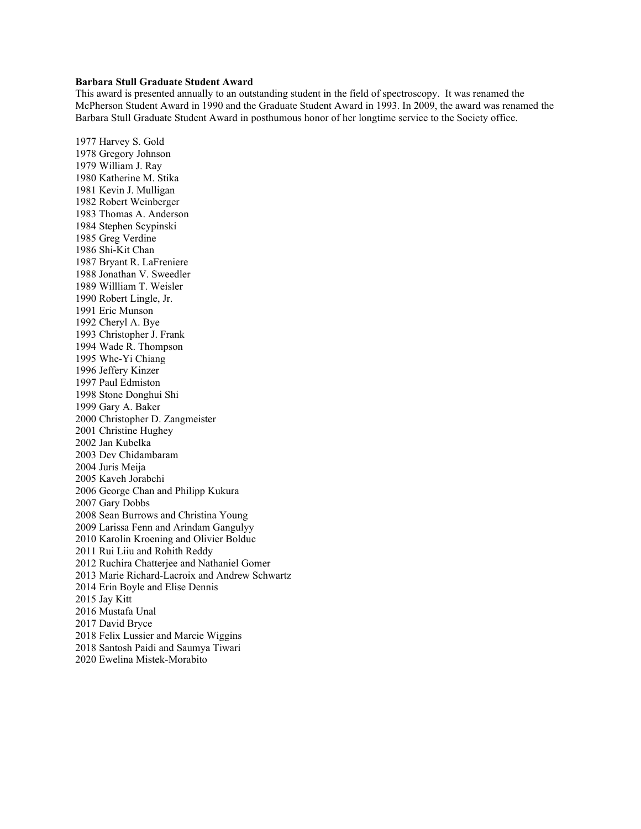# **Barbara Stull Graduate Student Award**

This award is presented annually to an outstanding student in the field of spectroscopy. It was renamed the McPherson Student Award in 1990 and the Graduate Student Award in 1993. In 2009, the award was renamed the Barbara Stull Graduate Student Award in posthumous honor of her longtime service to the Society office.

1977 Harvey S. Gold 1978 Gregory Johnson 1979 William J. Ray 1980 Katherine M. Stika 1981 Kevin J. Mulligan 1982 Robert Weinberger 1983 Thomas A. Anderson 1984 Stephen Scypinski 1985 Greg Verdine 1986 Shi-Kit Chan 1987 Bryant R. LaFreniere 1988 Jonathan V. Sweedler 1989 Willliam T. Weisler 1990 Robert Lingle, Jr. 1991 Eric Munson 1992 Cheryl A. Bye 1993 Christopher J. Frank 1994 Wade R. Thompson 1995 Whe-Yi Chiang 1996 Jeffery Kinzer 1997 Paul Edmiston 1998 Stone Donghui Shi 1999 Gary A. Baker 2000 Christopher D. Zangmeister 2001 Christine Hughey 2002 Jan Kubelka 2003 Dev Chidambaram 2004 Juris Meija 2005 Kaveh Jorabchi 2006 George Chan and Philipp Kukura 2007 Gary Dobbs 2008 Sean Burrows and Christina Young 2009 Larissa Fenn and Arindam Gangulyy 2010 Karolin Kroening and Olivier Bolduc 2011 Rui Liiu and Rohith Reddy 2012 Ruchira Chatterjee and Nathaniel Gomer 2013 Marie Richard-Lacroix and Andrew Schwartz 2014 Erin Boyle and Elise Dennis 2015 Jay Kitt 2016 Mustafa Unal 2017 David Bryce 2018 Felix Lussier and Marcie Wiggins 2018 Santosh Paidi and Saumya Tiwari 2020 Ewelina Mistek-Morabito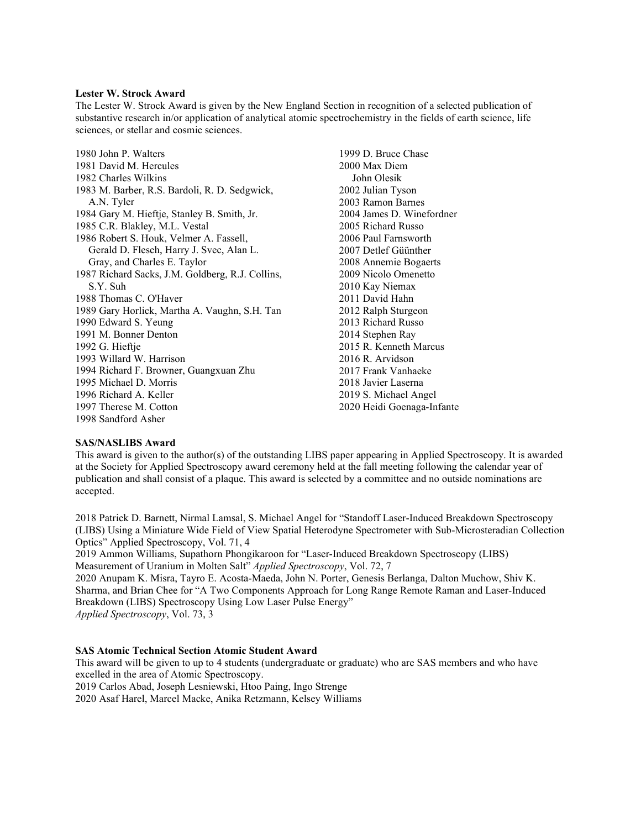### **Lester W. Strock Award**

The Lester W. Strock Award is given by the New England Section in recognition of a selected publication of substantive research in/or application of analytical atomic spectrochemistry in the fields of earth science, life sciences, or stellar and cosmic sciences.

1980 John P. Walters 1981 David M. Hercules 1982 Charles Wilkins 1983 M. Barber, R.S. Bardoli, R. D. Sedgwick, A.N. Tyler 1984 Gary M. Hieftje, Stanley B. Smith, Jr. 1985 C.R. Blakley, M.L. Vestal 1986 Robert S. Houk, Velmer A. Fassell, Gerald D. Flesch, Harry J. Svec, Alan L. Gray, and Charles E. Taylor 1987 Richard Sacks, J.M. Goldberg, R.J. Collins, S.Y. Suh 1988 Thomas C. O'Haver 1989 Gary Horlick, Martha A. Vaughn, S.H. Tan 1990 Edward S. Yeung 1991 M. Bonner Denton 1992 G. Hieftje 1993 Willard W. Harrison 1994 Richard F. Browner, Guangxuan Zhu 1995 Michael D. Morris 1996 Richard A. Keller 1997 Therese M. Cotton 1998 Sandford Asher

1999 D. Bruce Chase 2000 Max Diem John Olesik 2002 Julian Tyson 2003 Ramon Barnes 2004 James D. Winefordner 2005 Richard Russo 2006 Paul Farnsworth 2007 Detlef Güünther 2008 Annemie Bogaerts 2009 Nicolo Omenetto 2010 Kay Niemax 2011 David Hahn 2012 Ralph Sturgeon 2013 Richard Russo 2014 Stephen Ray 2015 R. Kenneth Marcus 2016 R. Arvidson 2017 Frank Vanhaeke 2018 Javier Laserna 2019 S. Michael Angel 2020 Heidi Goenaga-Infante

## **SAS/NASLIBS Award**

This award is given to the author(s) of the outstanding LIBS paper appearing in Applied Spectroscopy. It is awarded at the Society for Applied Spectroscopy award ceremony held at the fall meeting following the calendar year of publication and shall consist of a plaque. This award is selected by a committee and no outside nominations are accepted.

2018 Patrick D. Barnett, Nirmal Lamsal, S. Michael Angel for "Standoff Laser-Induced Breakdown Spectroscopy (LIBS) Using a Miniature Wide Field of View Spatial Heterodyne Spectrometer with Sub-Microsteradian Collection Optics" Applied Spectroscopy, Vol. 71, 4

2019 Ammon Williams, Supathorn Phongikaroon for "Laser-Induced Breakdown Spectroscopy (LIBS) Measurement of Uranium in Molten Salt" *Applied Spectroscopy*, Vol. 72, 7

2020 Anupam K. Misra, Tayro E. Acosta-Maeda, John N. Porter, Genesis Berlanga, Dalton Muchow, Shiv K. Sharma, and Brian Chee for "A Two Components Approach for Long Range Remote Raman and Laser-Induced Breakdown (LIBS) Spectroscopy Using Low Laser Pulse Energy" *Applied Spectroscopy*, Vol. 73, 3

# **SAS Atomic Technical Section Atomic Student Award**

This award will be given to up to 4 students (undergraduate or graduate) who are SAS members and who have excelled in the area of Atomic Spectroscopy.

2019 Carlos Abad, Joseph Lesniewski, Htoo Paing, Ingo Strenge

2020 Asaf Harel, Marcel Macke, Anika Retzmann, Kelsey Williams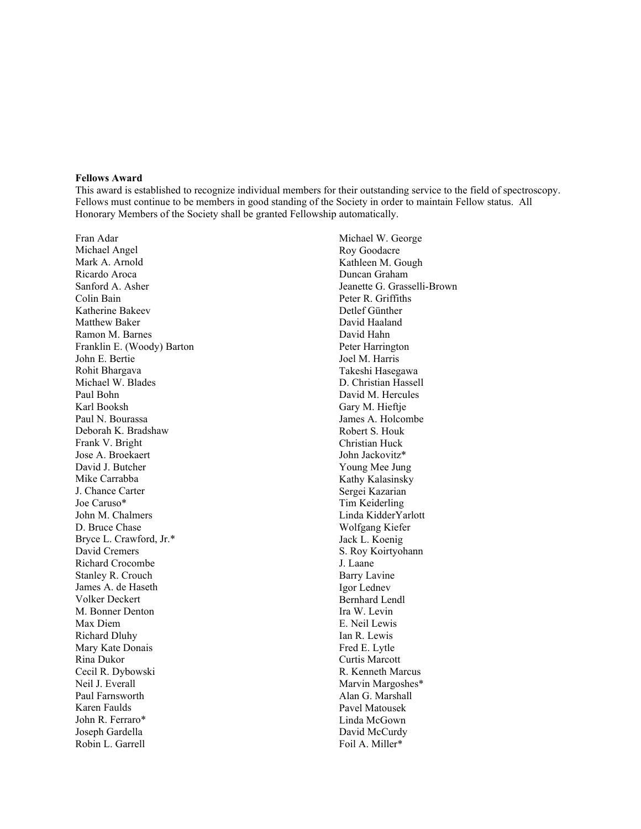### **Fellows Award**

This award is established to recognize individual members for their outstanding service to the field of spectroscopy. Fellows must continue to be members in good standing of the Society in order to maintain Fellow status. All Honorary Members of the Society shall be granted Fellowship automatically.

Fran Adar Michael Angel Mark A. Arnold Ricardo Aroca Sanford A. Asher Colin Bain Katherine Bakeev Matthew Baker Ramon M. Barnes Franklin E. (Woody) Barton John E. Bertie Rohit Bhargava Michael W. Blades Paul Bohn Karl Booksh Paul N. Bourassa Deborah K. Bradshaw Frank V. Bright Jose A. Broekaert David J. Butcher Mike Carrabba J. Chance Carter Joe Caruso\* John M. Chalmers D. Bruce Chase Bryce L. Crawford, Jr.\* David Cremers Richard Crocombe Stanley R. Crouch James A. de Haseth Volker Deckert M. Bonner Denton Max Diem Richard Dluhy Mary Kate Donais Rina Dukor Cecil R. Dybowski Neil J. Everall Paul Farnsworth Karen Faulds John R. Ferraro\* Joseph Gardella Robin L. Garrell

Michael W. George Roy Goodacre Kathleen M. Gough Duncan Graham Jeanette G. Grasselli-Brown Peter R. Griffiths Detlef Günther David Haaland David Hahn Peter Harrington Joel M. Harris Takeshi Hasegawa D. Christian Hassell David M. Hercules Gary M. Hieftje James A. Holcombe Robert S. Houk Christian Huck John Jackovitz\* Young Mee Jung Kathy Kalasinsky Sergei Kazarian Tim Keiderling Linda KidderYarlott Wolfgang Kiefer Jack L. Koenig S. Roy Koirtyohann J. Laane Barry Lavine Igor Lednev Bernhard Lendl Ira W. Levin E. Neil Lewis Ian R. Lewis Fred E. Lytle Curtis Marcott R. Kenneth Marcus Marvin Margoshes\* Alan G. Marshall Pavel Matousek Linda McGown David McCurdy Foil A. Miller\*